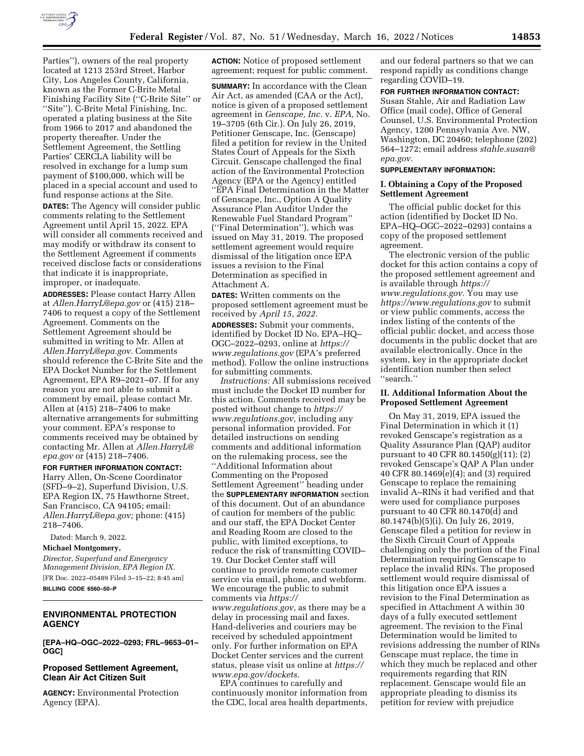

Parties''), owners of the real property located at 1213 253rd Street, Harbor City, Los Angeles County, California, known as the Former C-Brite Metal Finishing Facility Site (''C-Brite Site'' or ''Site''). C-Brite Metal Finishing, Inc. operated a plating business at the Site from 1966 to 2017 and abandoned the property thereafter. Under the Settlement Agreement, the Settling Parties' CERCLA liability will be resolved in exchange for a lump sum payment of \$100,000, which will be placed in a special account and used to fund response actions at the Site. **DATES:** The Agency will consider public

comments relating to the Settlement Agreement until April 15, 2022. EPA will consider all comments received and may modify or withdraw its consent to the Settlement Agreement if comments received disclose facts or considerations that indicate it is inappropriate, improper, or inadequate.

**ADDRESSES:** Please contact Harry Allen at *[Allen.HarryL@epa.gov](mailto:Allen.HarryL@epa.gov)* or (415) 218– 7406 to request a copy of the Settlement Agreement. Comments on the Settlement Agreement should be submitted in writing to Mr. Allen at *[Allen.HarryL@epa.gov.](mailto:Allen.HarryL@epa.gov)* Comments should reference the C-Brite Site and the EPA Docket Number for the Settlement Agreement, EPA R9–2021–07. If for any reason you are not able to submit a comment by email, please contact Mr. Allen at (415) 218–7406 to make alternative arrangements for submitting your comment. EPA's response to comments received may be obtained by contacting Mr. Allen at *[Allen.HarryL@](mailto:Allen.HarryL@epa.gov) [epa.gov](mailto:Allen.HarryL@epa.gov)* or (415) 218–7406.

#### **FOR FURTHER INFORMATION CONTACT:**

Harry Allen, On-Scene Coordinator (SFD–9–2), Superfund Division, U.S. EPA Region IX, 75 Hawthorne Street, San Francisco, CA 94105; email: *[Allen.HarryL@epa.gov;](mailto:Allen.HarryL@epa.gov)* phone: (415) 218–7406.

Dated: March 9, 2022.

**Michael Montgomery,** 

*Director, Superfund and Emergency Management Division, EPA Region IX.*  [FR Doc. 2022–05489 Filed 3–15–22; 8:45 am] **BILLING CODE 6560–50–P** 

## **ENVIRONMENTAL PROTECTION AGENCY**

**[EPA–HQ–OGC–2022–0293; FRL–9653–01– OGC]** 

## **Proposed Settlement Agreement, Clean Air Act Citizen Suit**

**AGENCY:** Environmental Protection Agency (EPA).

**ACTION:** Notice of proposed settlement agreement; request for public comment.

**SUMMARY:** In accordance with the Clean Air Act, as amended (CAA or the Act), notice is given of a proposed settlement agreement in *Genscape, Inc.* v. *EPA,* No. 19–3705 (6th Cir.). On July 26, 2019, Petitioner Genscape, Inc. (Genscape) filed a petition for review in the United States Court of Appeals for the Sixth Circuit. Genscape challenged the final action of the Environmental Protection Agency (EPA or the Agency) entitled ''EPA Final Determination in the Matter of Genscape, Inc., Option A Quality Assurance Plan Auditor Under the Renewable Fuel Standard Program'' (''Final Determination''), which was issued on May 31, 2019. The proposed settlement agreement would require dismissal of the litigation once EPA issues a revision to the Final Determination as specified in Attachment A.

**DATES:** Written comments on the proposed settlement agreement must be received by *April 15, 2022.* 

**ADDRESSES:** Submit your comments, identified by Docket ID No. EPA–HQ– OGC–2022–0293, online at *[https://](https://www.regulations.gov) [www.regulations.gov](https://www.regulations.gov)* (EPA's preferred method). Follow the online instructions for submitting comments.

*Instructions:* All submissions received must include the Docket ID number for this action. Comments received may be posted without change to *[https://](https://www.regulations.gov) [www.regulations.gov,](https://www.regulations.gov)* including any personal information provided. For detailed instructions on sending comments and additional information on the rulemaking process, see the ''Additional Information about Commenting on the Proposed Settlement Agreement'' heading under the **SUPPLEMENTARY INFORMATION** section of this document. Out of an abundance of caution for members of the public and our staff, the EPA Docket Center and Reading Room are closed to the public, with limited exceptions, to reduce the risk of transmitting COVID– 19. Our Docket Center staff will continue to provide remote customer service via email, phone, and webform. We encourage the public to submit comments via *[https://](https://www.regulations.gov) [www.regulations.gov,](https://www.regulations.gov)* as there may be a delay in processing mail and faxes. Hand-deliveries and couriers may be received by scheduled appointment only. For further information on EPA Docket Center services and the current status, please visit us online at *[https://](https://www.epa.gov/dockets) [www.epa.gov/dockets.](https://www.epa.gov/dockets)* 

EPA continues to carefully and continuously monitor information from the CDC, local area health departments,

and our federal partners so that we can respond rapidly as conditions change regarding COVID–19.

# **FOR FURTHER INFORMATION CONTACT:**

Susan Stahle, Air and Radiation Law Office (mail code), Office of General Counsel, U.S. Environmental Protection Agency, 1200 Pennsylvania Ave. NW, Washington, DC 20460; telephone (202) 564–1272; email address *[stahle.susan@](mailto:stahle.susan@epa.gov) [epa.gov.](mailto:stahle.susan@epa.gov)* 

## **SUPPLEMENTARY INFORMATION:**

#### **I. Obtaining a Copy of the Proposed Settlement Agreement**

The official public docket for this action (identified by Docket ID No. EPA–HQ–OGC–2022–0293) contains a copy of the proposed settlement agreement.

The electronic version of the public docket for this action contains a copy of the proposed settlement agreement and is available through *[https://](https://www.regulations.gov) [www.regulations.gov.](https://www.regulations.gov)* You may use *<https://www.regulations.gov>* to submit or view public comments, access the index listing of the contents of the official public docket, and access those documents in the public docket that are available electronically. Once in the system, key in the appropriate docket identification number then select ''search.''

# **II. Additional Information About the Proposed Settlement Agreement**

On May 31, 2019, EPA issued the Final Determination in which it (1) revoked Genscape's registration as a Quality Assurance Plan (QAP) auditor pursuant to 40 CFR 80.1450(g)(11); (2) revoked Genscape's QAP A Plan under 40 CFR 80.1469(e)(4); and (3) required Genscape to replace the remaining invalid A–RINs it had verified and that were used for compliance purposes pursuant to 40 CFR 80.1470(d) and 80.1474(b)(5)(i). On July 26, 2019, Genscape filed a petition for review in the Sixth Circuit Court of Appeals challenging only the portion of the Final Determination requiring Genscape to replace the invalid RINs. The proposed settlement would require dismissal of this litigation once EPA issues a revision to the Final Determination as specified in Attachment A within 30 days of a fully executed settlement agreement. The revision to the Final Determination would be limited to revisions addressing the number of RINs Genscape must replace, the time in which they much be replaced and other requirements regarding that RIN replacement. Genscape would file an appropriate pleading to dismiss its petition for review with prejudice